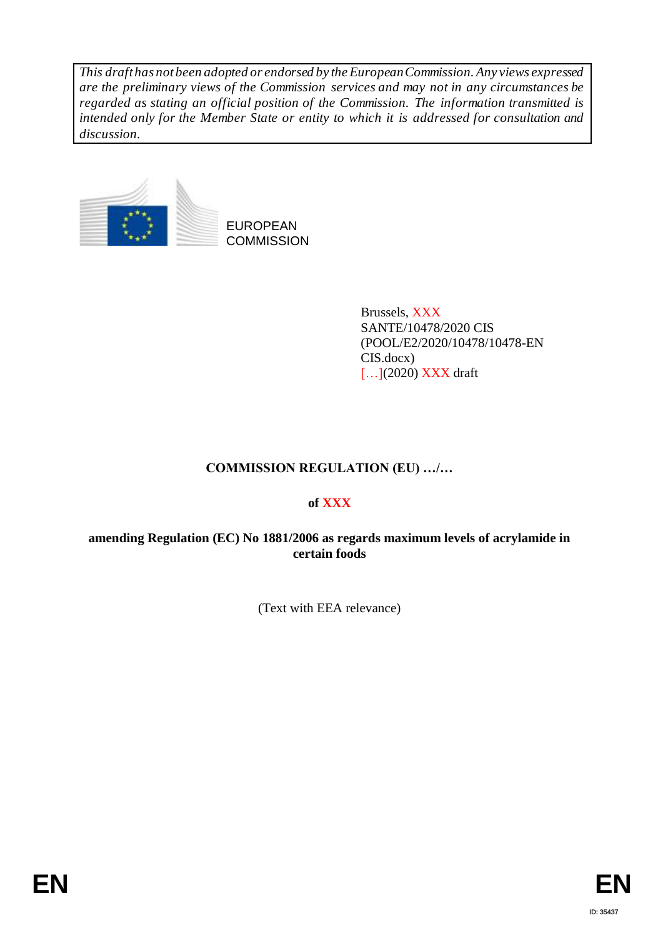*This draft has not been adopted or endorsed by the European Commission. Any views expressed are the preliminary views of the Commission services and may not in any circumstances be regarded as stating an official position of the Commission. The information transmitted is intended only for the Member State or entity to which it is addressed for consultation and discussion.*



Brussels, XXX SANTE/10478/2020 CIS (POOL/E2/2020/10478/10478-EN CIS.docx) [...](2020) **XXX** draft

# **COMMISSION REGULATION (EU) …/…**

# **of XXX**

# **amending Regulation (EC) No 1881/2006 as regards maximum levels of acrylamide in certain foods**

(Text with EEA relevance)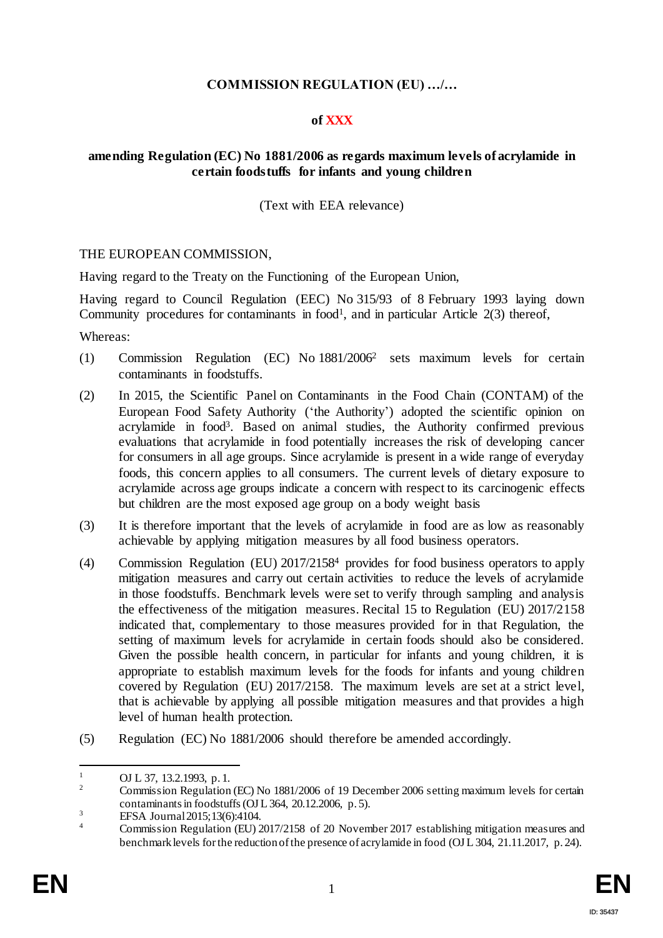# **COMMISSION REGULATION (EU) …/…**

# **of XXX**

#### **amending Regulation (EC) No 1881/2006 as regards maximum levels of acrylamide in certain foodstuffs for infants and young children**

(Text with EEA relevance)

#### THE EUROPEAN COMMISSION,

Having regard to the Treaty on the Functioning of the European Union,

Having regard to Council Regulation (EEC) No 315/93 of 8 February 1993 laying down Community procedures for contaminants in  $food<sup>1</sup>$ , and in particular Article  $2(3)$  thereof,

Whereas:

- (1) Commission Regulation (EC) No 1881/2006<sup>2</sup> sets maximum levels for certain contaminants in foodstuffs.
- (2) In 2015, the Scientific Panel on Contaminants in the Food Chain (CONTAM) of the European Food Safety Authority ('the Authority') adopted the scientific opinion on acrylamide in food<sup>3</sup>. Based on animal studies, the Authority confirmed previous evaluations that acrylamide in food potentially increases the risk of developing cancer for consumers in all age groups. Since acrylamide is present in a wide range of everyday foods, this concern applies to all consumers. The current levels of dietary exposure to acrylamide across age groups indicate a concern with respect to its carcinogenic effects but children are the most exposed age group on a body weight basis
- (3) It is therefore important that the levels of acrylamide in food are as low as reasonably achievable by applying mitigation measures by all food business operators.
- (4) Commission Regulation (EU) 2017/2158<sup>4</sup> provides for food business operators to apply mitigation measures and carry out certain activities to reduce the levels of acrylamide in those foodstuffs. Benchmark levels were set to verify through sampling and analysis the effectiveness of the mitigation measures. Recital 15 to Regulation (EU) 2017/2158 indicated that, complementary to those measures provided for in that Regulation, the setting of maximum levels for acrylamide in certain foods should also be considered. Given the possible health concern, in particular for infants and young children, it is appropriate to establish maximum levels for the foods for infants and young children covered by Regulation (EU) 2017/2158. The maximum levels are set at a strict level, that is achievable by applying all possible mitigation measures and that provides a high level of human health protection.
- (5) Regulation (EC) No 1881/2006 should therefore be amended accordingly.

 $\mathbf{1}$  $\frac{1}{2}$  OJ L 37, 13.2.1993, p. 1.

<sup>2</sup> Commission Regulation (EC) No 1881/2006 of 19 December 2006 setting maximum levels for certain contaminants in foodstuffs(OJ L 364, 20.12.2006, p. 5).

 $EFSA Journal 2015;13(6):4104.$ 

<sup>4</sup> Commission Regulation (EU) 2017/2158 of 20 November 2017 establishing mitigation measures and benchmark levels for the reduction of the presence of acrylamide in food (OJ L 304, 21.11.2017, p. 24).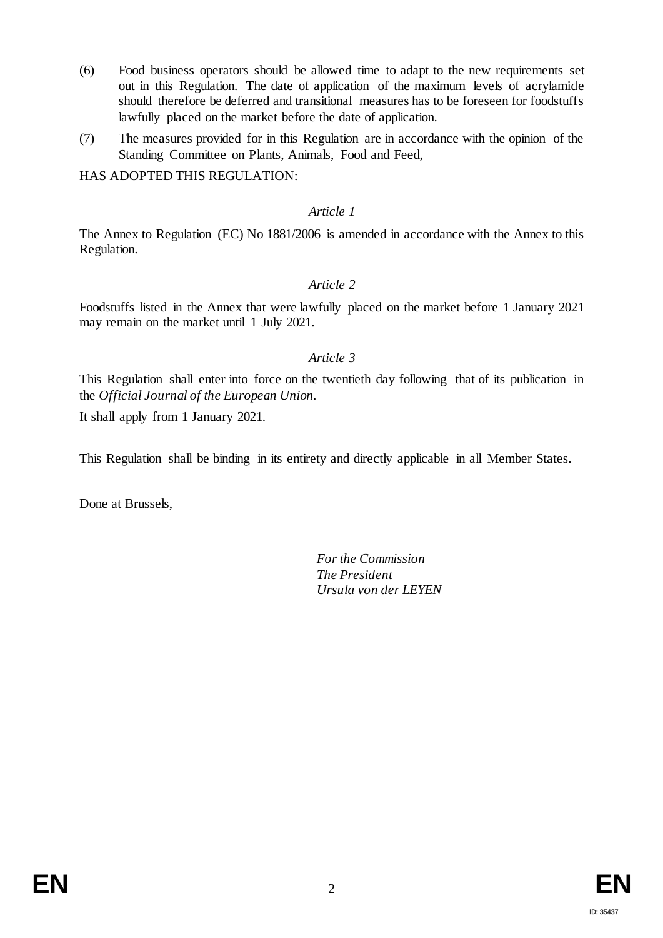- (6) Food business operators should be allowed time to adapt to the new requirements set out in this Regulation. The date of application of the maximum levels of acrylamide should therefore be deferred and transitional measures has to be foreseen for foodstuffs lawfully placed on the market before the date of application.
- (7) The measures provided for in this Regulation are in accordance with the opinion of the Standing Committee on Plants, Animals, Food and Feed,

HAS ADOPTED THIS REGULATION:

#### *Article 1*

The Annex to Regulation (EC) No 1881/2006 is amended in accordance with the Annex to this Regulation.

# *Article 2*

Foodstuffs listed in the Annex that were lawfully placed on the market before 1 January 2021 may remain on the market until 1 July 2021.

# *Article 3*

This Regulation shall enter into force on the twentieth day following that of its publication in the *Official Journal of the European Union.*

It shall apply from 1 January 2021.

This Regulation shall be binding in its entirety and directly applicable in all Member States.

Done at Brussels,

*For the Commission The President Ursula von der LEYEN*